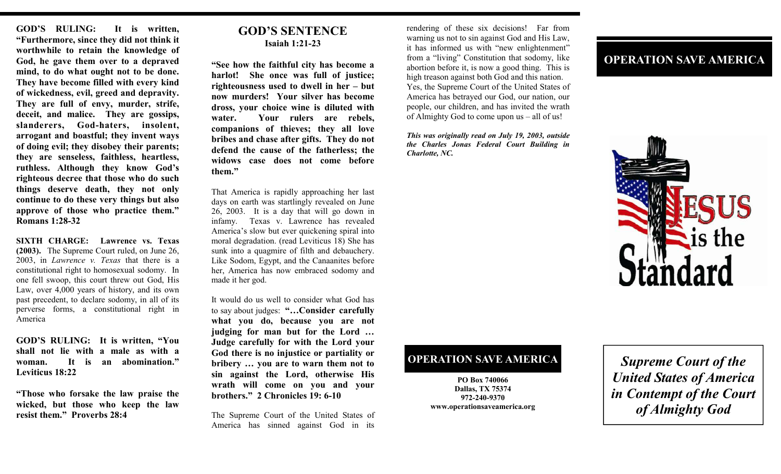**GOD'S RULING: It is written, "Furthermore, since they did not think it worthwhile to retain the knowledge of God, he gave them over to a depraved mind, to do what ought not to be done. They have become filled with every kind of wickedness, evil, greed and depravity. They are full of envy, murder, strife, deceit, and malice. They are gossips, slanderers, God-haters, insolent, arrogant and boastful; they invent ways of doing evil; they disobey their parents; they are senseless, faithless, heartless, ruthless. Although they know God's righteous decree that those who do such things deserve death, they not only continue to do these very things but also approve of those who practice them." Romans 1:28-32** 

**SIXTH CHARGE: Lawrence vs. Texas (2003).** The Supreme Court ruled, on June 26, 2003, in *Lawrence v. Texas* that there is a constitutional right to homosexual sodomy. In one fell swoop, this court threw out God, His Law, over 4,000 years of history, and its own past precedent, to declare sodomy, in all of its perverse forms, a constitutional right in America

**GOD'S RULING: It is written, "You shall not lie with a male as with a woman. It is an abomination." Leviticus 18:22** 

**"Those who forsake the law praise the wicked, but those who keep the law resist them." Proverbs 28:4** 

### **GOD'S SENTENCE Isaiah 1:21-23**

**"See how the faithful city has become a harlot! She once was full of justice; righteousness used to dwell in her – but now murders! Your silver has become dross, your choice wine is diluted with water. Your rulers are rebels, companions of thieves; they all love bribes and chase after gifts. They do not defend the cause of the fatherless; the widows case does not come before them."** 

That America is rapidly approaching her last days on earth was startlingly revealed on June 26, 2003. It is a day that will go down in infamy. Texas v. Lawrence has revealed America's slow but ever quickening spiral into moral degradation. (read Leviticus 18) She has sunk into a quagmire of filth and debauchery. Like Sodom, Egypt, and the Canaanites before her, America has now embraced sodomy and made it her god.

It would do us well to consider what God has to say about judges: **"…Consider carefully what you do, because you are not judging for man but for the Lord … Judge carefully for with the Lord your God there is no injustice or partiality or bribery … you are to warn them not to sin against the Lord, otherwise His wrath will come on you and your brothers." 2 Chronicles 19: 6-10** 

The Supreme Court of the United States of America has sinned against God in its

rendering of these six decisions! Far from warning us not to sin against God and His Law, it has informed us with "new enlightenment" from a "living" Constitution that sodomy, like abortion before it, is now a good thing. This is high treason against both God and this nation. Yes, the Supreme Court of the United States of America has betrayed our God, our nation, our people, our children, and has invited the wrath of Almighty God to come upon us – all of us!

*This was originally read on July 19, 2003, outside the Charles Jonas Federal Court Building in Charlotte, NC.* 

# **OPERATION SAVE AMERICA**



## **OPERATION SAVE AMERICA**

**PO Box 740066 Dallas, TX 75374 972-240-9370 www.operationsaveamerica.org** 

*Supreme Court of the United States of America in Contempt of the Court of Almighty God*